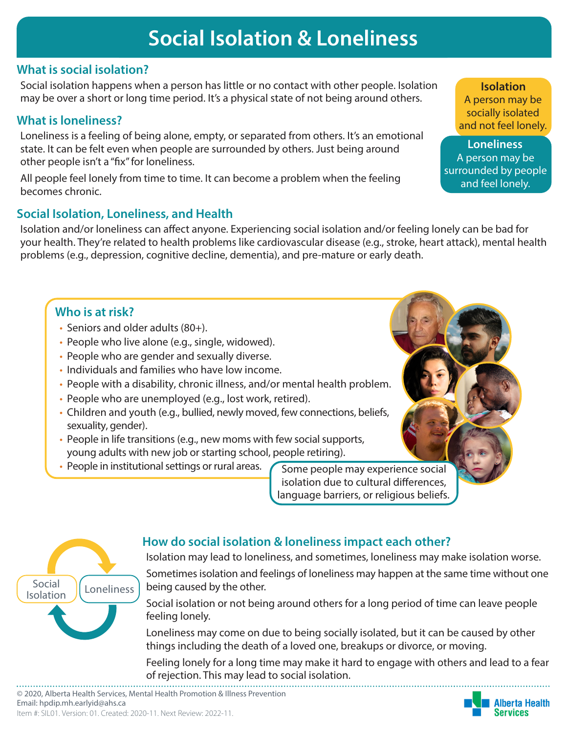# **Social Isolation & Loneliness**

# **What is social isolation?**

Social isolation happens when a person has little or no contact with other people. Isolation may be over a short or long time period. It's a physical state of not being around others.

## **What is loneliness?**

Loneliness is a feeling of being alone, empty, or separated from others. It's an emotional state. It can be felt even when people are surrounded by others. Just being around other people isn't a "fix" for loneliness.

All people feel lonely from time to time. It can become a problem when the feeling becomes chronic.

# **Social Isolation, Loneliness, and Health**

Isolation and/or loneliness can affect anyone. Experiencing social isolation and/or feeling lonely can be bad for your health. They're related to health problems like cardiovascular disease (e.g., stroke, heart attack), mental health problems (e.g., depression, cognitive decline, dementia), and pre-mature or early death.

# **Who is at risk?**

- Seniors and older adults (80+).
- People who live alone (e.g., single, widowed).
- People who are gender and sexually diverse.
- Individuals and families who have low income.
- People with a disability, chronic illness, and/or mental health problem.
- People who are unemployed (e.g., lost work, retired).
- Children and youth (e.g., bullied, newly moved, few connections, beliefs, sexuality, gender).
- People in life transitions (e.g., new moms with few social supports, young adults with new job or starting school, people retiring).
- People in institutional settings or rural areas. Some people may experience social

feeling lonely.

isolation due to cultural differences, language barriers, or religious beliefs.



# **How do social isolation & loneliness impact each other?**

Isolation may lead to loneliness, and sometimes, loneliness may make isolation worse. Sometimes isolation and feelings of loneliness may happen at the same time without one being caused by the other.

Social isolation or not being around others for a long period of time can leave people



Feeling lonely for a long time may make it hard to engage with others and lead to a fear of rejection. This may lead to social isolation.

**Isolation**

A person may be socially isolated and not feel lonely.

**Loneliness** A person may be surrounded by people and feel lonely.

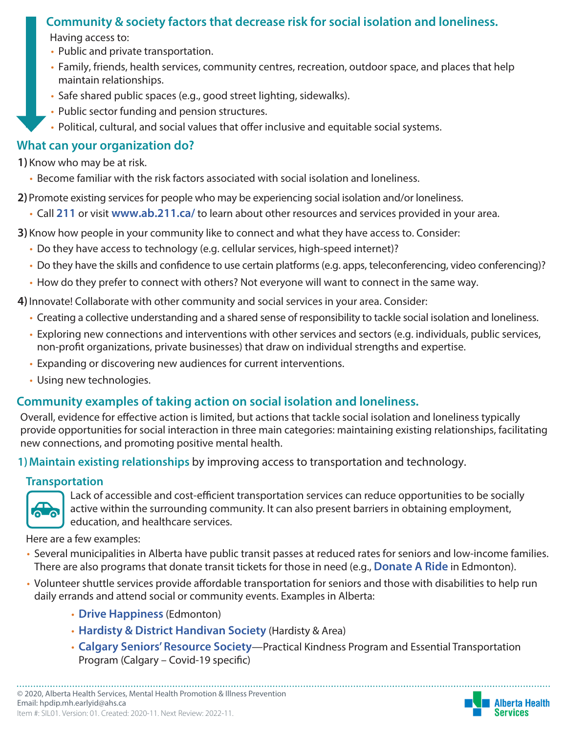# **Community & society factors that decrease risk for social isolation and loneliness.**

Having access to:

- Public and private transportation.
- Family, friends, health services, community centres, recreation, outdoor space, and places that help maintain relationships.
- Safe shared public spaces (e.g., good street lighting, sidewalks).
- Public sector funding and pension structures.
- Political, cultural, and social values that offer inclusive and equitable social systems.

## **What can your organization do?**

**1)**Know who may be at risk.

• Become familiar with the risk factors associated with social isolation and loneliness.

**2)**Promote existing services for people who may be experiencing social isolation and/or loneliness.

• Call **211** or visit **www.ab.211.ca/** to learn about other resources and services provided in your area.

**3)**Know how people in your community like to connect and what they have access to. Consider:

- Do they have access to technology (e.g. cellular services, high-speed internet)?
- Do they have the skills and confidence to use certain platforms (e.g. apps, teleconferencing, video conferencing)?
- How do they prefer to connect with others? Not everyone will want to connect in the same way.

**4)**Innovate! Collaborate with other community and social services in your area. Consider:

- Creating a collective understanding and a shared sense of responsibility to tackle social isolation and loneliness.
- Exploring new connections and interventions with other services and sectors (e.g. individuals, public services, non-profit organizations, private businesses) that draw on individual strengths and expertise.
- Expanding or discovering new audiences for current interventions.
- Using new technologies.

# **Community examples of taking action on social isolation and loneliness.**

Overall, evidence for effective action is limited, but actions that tackle social isolation and loneliness typically provide opportunities for social interaction in three main categories: maintaining existing relationships, facilitating new connections, and promoting positive mental health.

**1)Maintain existing relationships** by improving access to transportation and technology.

## **Transportation**



Lack of accessible and cost-efficient transportation services can reduce opportunities to be socially active within the surrounding community. It can also present barriers in obtaining employment, education, and healthcare services.

Here are a few examples:

- Several municipalities in Alberta have public transit passes at reduced rates for seniors and low-income families. There are also programs that donate transit tickets for those in need (e.g., **[Donate A Ride](http://www.donatearide.ab.ca/)** in Edmonton).
- Volunteer shuttle services provide affordable transportation for seniors and those with disabilities to help run daily errands and attend social or community events. Examples in Alberta:
	- **[Drive Happiness](https://drivehappiness.ca/)** (Edmonton)
	- **[Hardisty & District Handivan Society](https://www.hardisty.ca/residents/seniors/hardisty-and-district-handivan-society)** (Hardisty & Area)
	- **[Calgary Seniors' Resource Society](https://www.calgaryseniors.org/seniors-social-supports)**[—Practical Kindness Program](https://www.calgaryseniors.org/seniors-social-supports) and Essential Transportation Program (Calgary – Covid-19 specific)

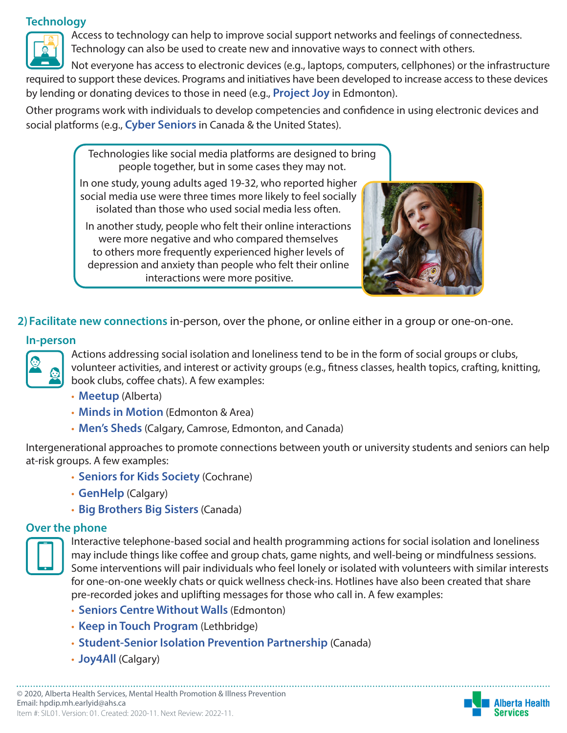#### **Technology**



Access to technology can help to improve social support networks and feelings of connectedness. Technology can also be used to create new and innovative ways to connect with others.

Not everyone has access to electronic devices (e.g., laptops, computers, cellphones) or the infrastructure required to support these devices. Programs and initiatives have been developed to increase access to these devices by lending or donating devices to those in need (e.g., **[Project Joy](https://www.joy4all.ca/)** in Edmonton).

Other programs work with individuals to develop competencies and confidence in using electronic devices and social platforms (e.g., **[Cyber Seniors](https://cyberseniors.org/partners-directory/)** in Canada & the United States).

> Technologies like social media platforms are designed to bring people together, but in some cases they may not.

In one study, young adults aged 19-32, who reported higher social media use were three times more likely to feel socially isolated than those who used social media less often.

In another study, people who felt their online interactions were more negative and who compared themselves to others more frequently experienced higher levels of depression and anxiety than people who felt their online interactions were more positive.



**2)Facilitate new connections** in-person, over the phone, or online either in a group or one-on-one.

#### **In-person**



Actions addressing social isolation and loneliness tend to be in the form of social groups or clubs, volunteer activities, and interest or activity groups (e.g., fitness classes, health topics, crafting, knitting, book clubs, coffee chats). A few examples:

- **[Meetup](https://www.meetup.com/)** (Alberta)
- **[Minds in Motion](https://alzheimer.ca/en/ab/We-can-help/minds-motion)** (Edmonton & Area)
- **[Men's Sheds](http://menssheds.ca/join-a-shed/)** (Calgary, Camrose, Edmonton, and Canada)

Intergenerational approaches to promote connections between youth or university students and seniors can help at-risk groups. A few examples:

- **[Seniors for Kids Society](http://seniorsforkids.ca/)** (Cochrane)
- **[GenHelp](https://www.joingenhelp.com/)** (Calgary)
- **[Big Brothers Big Sisters](https://bigbrothersbigsisters.ca/find-agency-near/)** (Canada)

#### **Over the phone**



Interactive telephone-based social and health programming actions for social isolation and loneliness may include things like coffee and group chats, game nights, and well-being or mindfulness sessions. Some interventions will pair individuals who feel lonely or isolated with volunteers with similar interests for one-on-one weekly chats or quick wellness check-ins. Hotlines have also been created that share pre-recorded jokes and uplifting messages for those who call in. A few examples:

- **[Seniors Centre Without Walls](http://www.edmontonsouthsidepcn.ca/classes-health-resources/seniors-centre-without-walls/)** (Edmonton)
- **[Keep in Touch Program](https://volunteerlethbridge.com/keep-in-touch/)** (Lethbridge)
- **[Student-Senior Isolation Prevention Partnership](https://www.ssipp.info/)** (Canada)
- **[Joy4All](https://www.joy4all.ca/)** (Calgary)

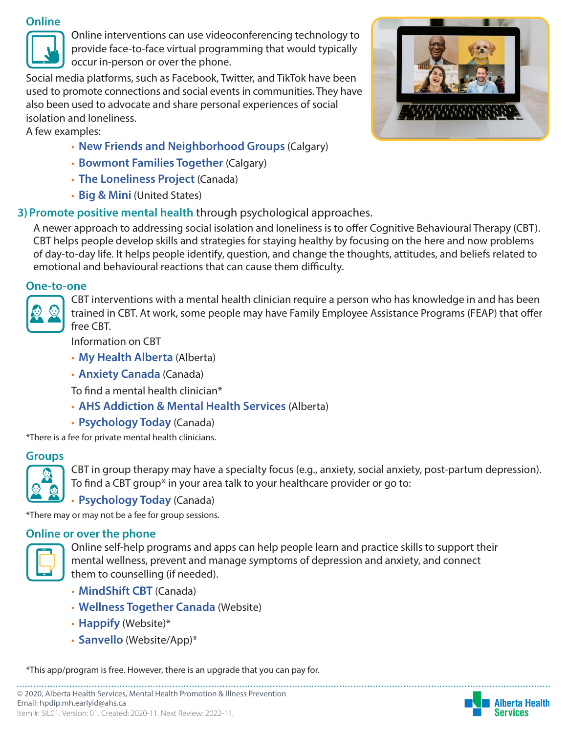#### **Online**



Online interventions can use videoconferencing technology to provide face-to-face virtual programming that would typically occur in-person or over the phone.

Social media platforms, such as Facebook, Twitter, and TikTok have been used to promote connections and social events in communities. They have also been used to advocate and share personal experiences of social isolation and loneliness.

A few examples:

- **[New Friends and Neighborhood Groups](https://www.ciwa-online.com/client-services/settlement-and-integration-services/new-friends-and-neighbourhood-groups.html)** (Calgary)
- **[Bowmont Families Together](https://caryacalgary.ca/our-programs/family-support/bowmont-families-together/)** (Calgary)
- **[The Loneliness Project](https://thelonelinessproject.org/)** (Canada)
- **[Big & Mini](https://bigandmini.org/)** (United States)

# **3)Promote positive mental health** through psychological approaches.



## **One-to-one**



CBT interventions with a mental health clinician require a person who has knowledge in and has been trained in CBT. At work, some people may have Family Employee Assistance Programs (FEAP) that offer free CBT.

Information on CBT

- **[My Health Alberta](https://myhealth.alberta.ca/health/pages/conditions.aspx?Hwid=uf9857)** (Alberta)
- **[Anxiety Canada](https://www.anxietycanada.com/articles/cognitive-behaviour-therapy-cbt/)** (Canada)

To find a mental health clinician\*

- **[AHS Addiction & Mental Health Services](https://www.albertahealthservices.ca/amh/Page14063.aspx#details-panel14065)** (Alberta)
- **[Psychology Today](https://www.psychologytoday.com/ca/groups/cognitive-behavioural-cbt/alberta)** (Canada)

\*There is a fee for private mental health clinicians.

# **Groups**



CBT in group therapy may have a specialty focus (e.g., anxiety, social anxiety, post-partum depression). To find a CBT group\* in your area talk to your healthcare provider or go to:

• **[Psychology Today](https://www.psychologytoday.com/ca/groups/cognitive-behavioural-cbt/alberta)** (Canada)

\*There may or may not be a fee for group sessions.

## **Online or over the phone**



Online self-help programs and apps can help people learn and practice skills to support their mental wellness, prevent and manage symptoms of depression and anxiety, and connect them to counselling (if needed).

- **[MindShift CBT](https://www.anxietycanada.com/resources/mindshift-cbt/)** (Canada)
- **[Wellness Together Canada](https://ca.portal.gs/)** (Website)
- **[Happify](https://www.happify.com/)** (Website)\*
- **[Sanvello](https://www.sanvello.com/)** (Website/App)\*

\*This app/program is free. However, there is an upgrade that you can pay for.